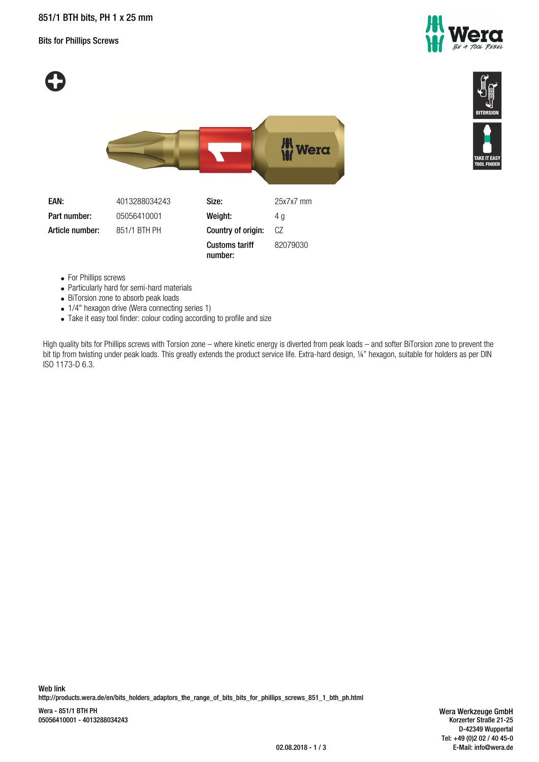Bits for Phillips Screws







- For Phillips screws
- Particularly hard for semi-hard materials
- BiTorsion zone to absorb peak loads
- 1/4" hexagon drive (Wera connecting series 1)
- Take it easy tool finder: colour coding according to profile and size

High quality bits for Phillips screws with Torsion zone – where kinetic energy is diverted from peak loads – and softer BiTorsion zone to prevent the bit tip from twisting under peak loads. This greatly extends the product service life. Extra-hard design, 14" hexagon, suitable for holders as per DIN ISO 1173-D 6.3.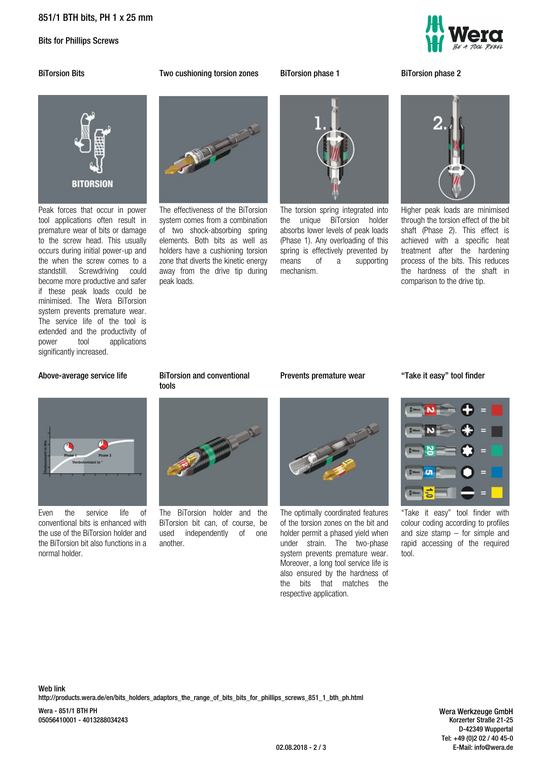## **851/1 BTH bits, PH 1 x 25 mm**

Bits for Phillips Screws

## **BiTorsion Bits Two cushioning torsion zones BiTorsion phase 1 BiTorsion phase 2**





Peak forces that occur in power tool applications often result in premature wear of bits or damage to the screw head. This usually occurs during initial power-up and the when the screw comes to a standstill. Screwdriving could become more productive and safer if these peak loads could be minimised. The Wera BiTorsion system prevents premature wear. The service life of the tool is extended and the productivity of<br>power tool applications applications significantly increased.



The effectiveness of the BiTorsion system comes from a combination of two shock-absorbing spring elements. Both bits as well as holders have a cushioning torsion zone that diverts the kinetic energy away from the drive tip during peak loads.



The torsion spring integrated into the unique BiTorsion holder absorbs lower levels of peak loads (Phase 1). Any overloading of this spring is effectively prevented by means of a supporting mechanism.



Higher peak loads are minimised through the torsion effect of the bit shaft (Phase 2). This effect is achieved with a specific heat treatment after the hardening process of the bits. This reduces the hardness of the shaft in comparison to the drive tip.

### **Above-average service life BiTorsion and conventional**



Even the service life of conventional bits is enhanced with the use of the BiTorsion holder and the BiTorsion bit also functions in a normal holder.

# **tools**



The BiTorsion holder and the BiTorsion bit can, of course, be used independently of one another.



The optimally coordinated features of the torsion zones on the bit and holder permit a phased yield when under strain. The two-phase system prevents premature wear. Moreover, a long tool service life is also ensured by the hardness of the bits that matches the respective application.

**Prevents premature wear "Take it easy" tool finder**



"Take it easy" tool finder with colour coding according to profiles and size stamp – for simple and rapid accessing of the required tool.